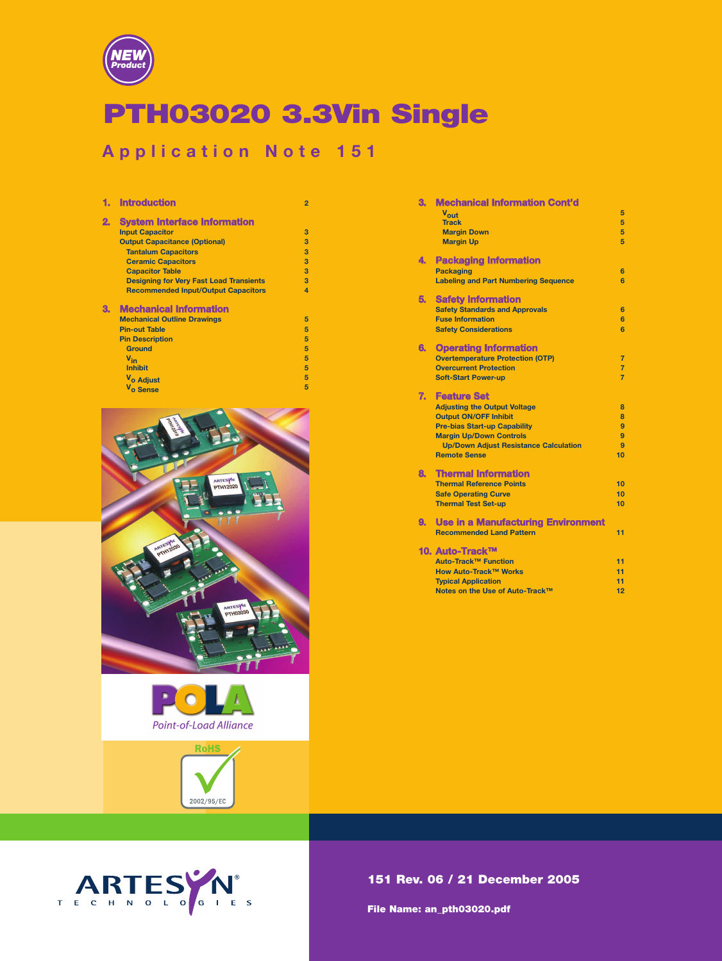

# **PTH03020 3.3Vin Single**

# **Application Note 151**

|    | <b>Introduction</b>                            | $\overline{2}$ |
|----|------------------------------------------------|----------------|
| 2. | <b>System Interface Information</b>            |                |
|    | <b>Input Capacitor</b>                         | 3              |
|    | <b>Output Capacitance (Optional)</b>           | 3              |
|    | <b>Tantalum Capacitors</b>                     | 3              |
|    | <b>Ceramic Capacitors</b>                      | 3              |
|    | <b>Capacitor Table</b>                         | 3              |
|    | <b>Designing for Very Fast Load Transients</b> | 3              |
|    | <b>Recommended Input/Output Capacitors</b>     | $\overline{a}$ |
| З. | <b>Mechanical Information</b>                  |                |
|    | <b>Mechanical Outline Drawings</b>             | 5              |
|    | <b>Pin-out Table</b>                           | 5              |
|    | <b>Pin Description</b>                         | 5              |
|    | <b>Ground</b>                                  | 5              |
|    | $V_{in}$                                       | 5              |
|    |                                                |                |
|    | <b>Inhibit</b>                                 | 5              |
|    | V <sub>o</sub> Adjust                          | 5              |







| З. | <b>Mechanical Information Cont'd</b>         |                |
|----|----------------------------------------------|----------------|
|    | Vout                                         | 5              |
|    | <b>Track</b>                                 | 5              |
|    | <b>Margin Down</b>                           | 5              |
|    | <b>Margin Up</b>                             | 5              |
| 4. | <b>Packaging Information</b>                 |                |
|    | <b>Packaging</b>                             | 6              |
|    | <b>Labeling and Part Numbering Sequence</b>  | 6              |
| 5. | <b>Safety Information</b>                    |                |
|    | <b>Safety Standards and Approvals</b>        | 6              |
|    | <b>Fuse Information</b>                      | 6              |
|    | <b>Safety Considerations</b>                 | 6              |
| 6. | <b>Operating Information</b>                 |                |
|    | <b>Overtemperature Protection (OTP)</b>      | $\overline{7}$ |
|    | <b>Overcurrent Protection</b>                | $\overline{7}$ |
|    | <b>Soft-Start Power-up</b>                   | $\overline{7}$ |
| 7. | <b>Feature Set</b>                           |                |
|    | <b>Adjusting the Output Voltage</b>          | 8              |
|    | <b>Output ON/OFF Inhibit</b>                 | 8              |
|    | <b>Pre-bias Start-up Capability</b>          | 9              |
|    | <b>Margin Up/Down Controls</b>               | 9              |
|    | <b>Up/Down Adjust Resistance Calculation</b> | 9              |
|    | <b>Remote Sense</b>                          | 10             |
| 8. | <b>Thermal Information</b>                   |                |
|    | <b>Thermal Reference Points</b>              | 10             |
|    | <b>Safe Operating Curve</b>                  | 10             |
|    | <b>Thermal Test Set-up</b>                   | 10             |
| 9. | <b>Use in a Manufacturing Environment</b>    |                |
|    | <b>Recommended Land Pattern</b>              | 11             |
|    | 10. Auto-Track™                              |                |
|    | Auto-Track™ Function                         | 11             |
|    | How Auto-Track™ Works                        | 11             |
|    | <b>Typical Application</b>                   | 11             |
|    | Notes on the Use of Auto-Track™              | 12             |

# **151 Rev. 06 / 2**1 **December 2005**

**File Name: an\_pth03020.pdf**

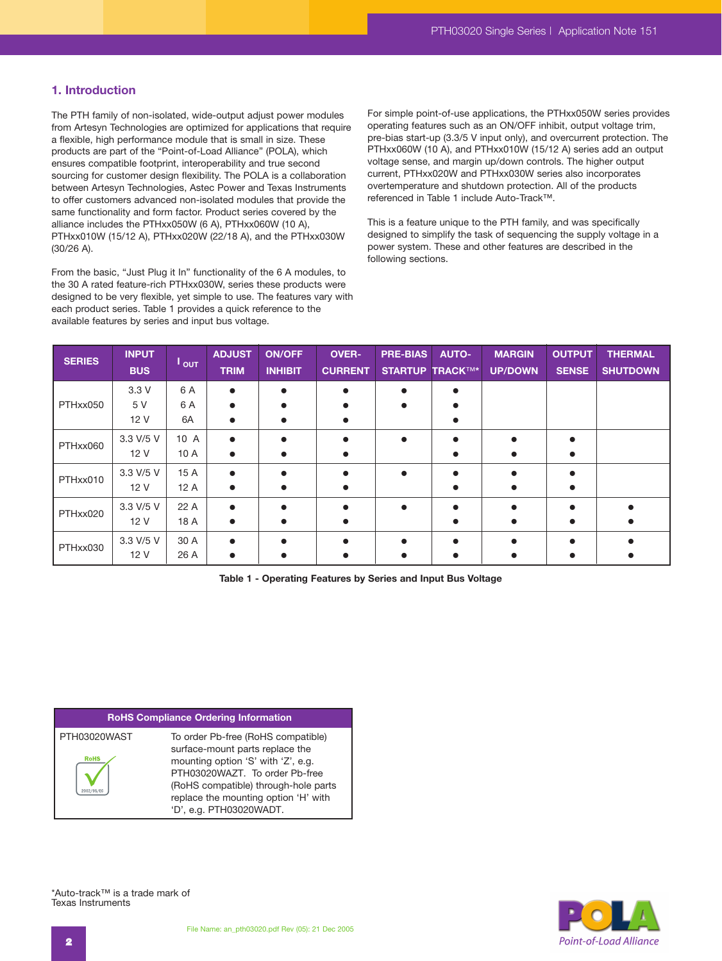# **1. Introduction**

The PTH family of non-isolated, wide-output adjust power modules from Artesyn Technologies are optimized for applications that require a flexible, high performance module that is small in size. These products are part of the "Point-of-Load Alliance" (POLA), which ensures compatible footprint, interoperability and true second sourcing for customer design flexibility. The POLA is a collaboration between Artesyn Technologies, Astec Power and Texas Instruments to offer customers advanced non-isolated modules that provide the same functionality and form factor. Product series covered by the alliance includes the PTHxx050W (6 A), PTHxx060W (10 A), PTHxx010W (15/12 A), PTHxx020W (22/18 A), and the PTHxx030W (30/26 A).

From the basic, "Just Plug it In" functionality of the 6 A modules, to the 30 A rated feature-rich PTHxx030W, series these products were designed to be very flexible, yet simple to use. The features vary with each product series. Table 1 provides a quick reference to the available features by series and input bus voltage.

For simple point-of-use applications, the PTHxx050W series provides operating features such as an ON/OFF inhibit, output voltage trim, pre-bias start-up (3.3/5 V input only), and overcurrent protection. The PTHxx060W (10 A), and PTHxx010W (15/12 A) series add an output voltage sense, and margin up/down controls. The higher output current, PTHxx020W and PTHxx030W series also incorporates overtemperature and shutdown protection. All of the products referenced in Table 1 include Auto-Track™.

This is a feature unique to the PTH family, and was specifically designed to simplify the task of sequencing the supply voltage in a power system. These and other features are described in the following sections.

| <b>SERIES</b> | <b>INPUT</b><br><b>BUS</b> | $\mathsf{I}_{\mathsf{OUT}}$ | <b>ADJUST</b><br><b>TRIM</b> | <b>ON/OFF</b><br><b>INHIBIT</b> | <b>OVER-</b><br><b>CURRENT</b> | <b>PRE-BIAS</b> | <b>AUTO-</b><br><b>STARTUP TRACKTM*</b> | <b>MARGIN</b><br><b>UP/DOWN</b> | <b>OUTPUT</b><br><b>SENSE</b> | <b>THERMAL</b><br><b>SHUTDOWN</b> |
|---------------|----------------------------|-----------------------------|------------------------------|---------------------------------|--------------------------------|-----------------|-----------------------------------------|---------------------------------|-------------------------------|-----------------------------------|
|               | 3.3V                       | 6 A                         |                              |                                 | $\bullet$                      |                 |                                         |                                 |                               |                                   |
| PTHxx050      | 5 V                        | 6 A                         |                              |                                 |                                |                 |                                         |                                 |                               |                                   |
|               | 12 V                       | 6A                          |                              |                                 |                                |                 |                                         |                                 |                               |                                   |
| PTHxx060      | 3.3 V/5 V                  | 10 A                        |                              |                                 | ●                              | $\bullet$       |                                         |                                 |                               |                                   |
|               | 12 V                       | 10 A                        |                              |                                 |                                |                 |                                         |                                 |                               |                                   |
| PTHxx010      | 3.3 V/5 V                  | 15 A                        |                              |                                 |                                | $\bullet$       |                                         |                                 |                               |                                   |
|               | 12 V                       | 12A                         |                              |                                 |                                |                 |                                         |                                 |                               |                                   |
| PTHxx020      | 3.3 V/5 V                  | 22 A                        |                              |                                 |                                | $\bullet$       |                                         |                                 |                               |                                   |
|               | 12 V                       | 18 A                        |                              |                                 | $\bullet$                      |                 |                                         |                                 |                               |                                   |
|               | 3.3 V/5 V                  | 30 A                        |                              |                                 | $\bullet$                      |                 |                                         |                                 |                               |                                   |
| PTHxx030      | 12 V                       | 26 A                        |                              |                                 |                                |                 |                                         |                                 |                               |                                   |

**Table 1 - Operating Features by Series and Input Bus Voltage**

# **RoHS Compliance Ordering Information**

| PTH03020WAST | To order Pb-free (RoHS compatible)   |
|--------------|--------------------------------------|
|              | surface-mount parts replace the      |
| <b>RoHS</b>  | mounting option 'S' with 'Z', e.g.   |
|              | PTH03020WAZT. To order Pb-free       |
|              | (RoHS compatible) through-hole parts |
|              | replace the mounting option 'H' with |
|              | 'D', e.g. PTH03020WADT.              |

\*Auto-track™ is a trade mark of Texas Instruments

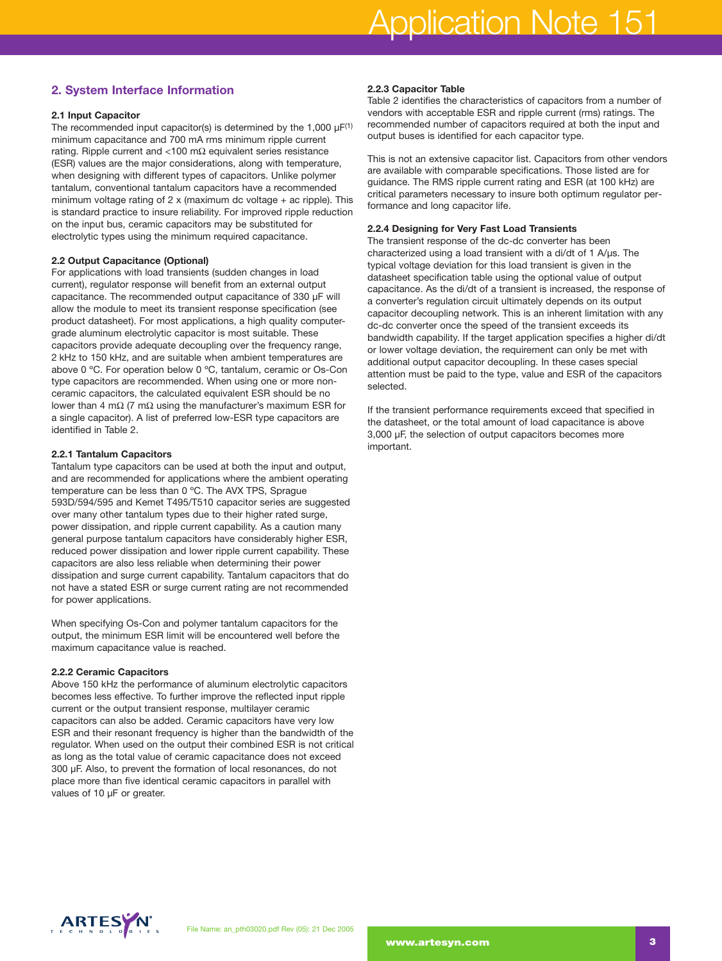# **2. System Interface Information**

#### **2.1 Input Capacitor**

The recommended input capacitor(s) is determined by the 1,000  $\mu$ F<sup>(1)</sup> minimum capacitance and 700 mA rms minimum ripple current rating. Ripple current and <100 mΩ equivalent series resistance (ESR) values are the major considerations, along with temperature, when designing with different types of capacitors. Unlike polymer tantalum, conventional tantalum capacitors have a recommended minimum voltage rating of 2 x (maximum dc voltage + ac ripple). This is standard practice to insure reliability. For improved ripple reduction on the input bus, ceramic capacitors may be substituted for electrolytic types using the minimum required capacitance.

#### **2.2 Output Capacitance (Optional)**

For applications with load transients (sudden changes in load current), regulator response will benefit from an external output capacitance. The recommended output capacitance of 330 µF will allow the module to meet its transient response specification (see product datasheet). For most applications, a high quality computergrade aluminum electrolytic capacitor is most suitable. These capacitors provide adequate decoupling over the frequency range, 2 kHz to 150 kHz, and are suitable when ambient temperatures are above 0 ºC. For operation below 0 ºC, tantalum, ceramic or Os-Con type capacitors are recommended. When using one or more nonceramic capacitors, the calculated equivalent ESR should be no lower than 4 mΩ (7 mΩ using the manufacturer's maximum ESR for a single capacitor). A list of preferred low-ESR type capacitors are identified in Table 2.

#### **2.2.1 Tantalum Capacitors**

Tantalum type capacitors can be used at both the input and output, and are recommended for applications where the ambient operating temperature can be less than 0 ºC. The AVX TPS, Sprague 593D/594/595 and Kemet T495/T510 capacitor series are suggested over many other tantalum types due to their higher rated surge, power dissipation, and ripple current capability. As a caution many general purpose tantalum capacitors have considerably higher ESR, reduced power dissipation and lower ripple current capability. These capacitors are also less reliable when determining their power dissipation and surge current capability. Tantalum capacitors that do not have a stated ESR or surge current rating are not recommended for power applications.

When specifying Os-Con and polymer tantalum capacitors for the output, the minimum ESR limit will be encountered well before the maximum capacitance value is reached.

# **2.2.2 Ceramic Capacitors**

Above 150 kHz the performance of aluminum electrolytic capacitors becomes less effective. To further improve the reflected input ripple current or the output transient response, multilayer ceramic capacitors can also be added. Ceramic capacitors have very low ESR and their resonant frequency is higher than the bandwidth of the regulator. When used on the output their combined ESR is not critical as long as the total value of ceramic capacitance does not exceed 300 µF. Also, to prevent the formation of local resonances, do not place more than five identical ceramic capacitors in parallel with values of 10 µF or greater.

# **2.2.3 Capacitor Table**

Table 2 identifies the characteristics of capacitors from a number of vendors with acceptable ESR and ripple current (rms) ratings. The recommended number of capacitors required at both the input and output buses is identified for each capacitor type.

This is not an extensive capacitor list. Capacitors from other vendors are available with comparable specifications. Those listed are for guidance. The RMS ripple current rating and ESR (at 100 kHz) are critical parameters necessary to insure both optimum regulator performance and long capacitor life.

# **2.2.4 Designing for Very Fast Load Transients**

The transient response of the dc-dc converter has been characterized using a load transient with a di/dt of 1 A/µs. The typical voltage deviation for this load transient is given in the datasheet specification table using the optional value of output capacitance. As the di/dt of a transient is increased, the response of a converter's regulation circuit ultimately depends on its output capacitor decoupling network. This is an inherent limitation with any dc-dc converter once the speed of the transient exceeds its bandwidth capability. If the target application specifies a higher di/dt or lower voltage deviation, the requirement can only be met with additional output capacitor decoupling. In these cases special attention must be paid to the type, value and ESR of the capacitors selected.

If the transient performance requirements exceed that specified in the datasheet, or the total amount of load capacitance is above 3,000 µF, the selection of output capacitors becomes more important.

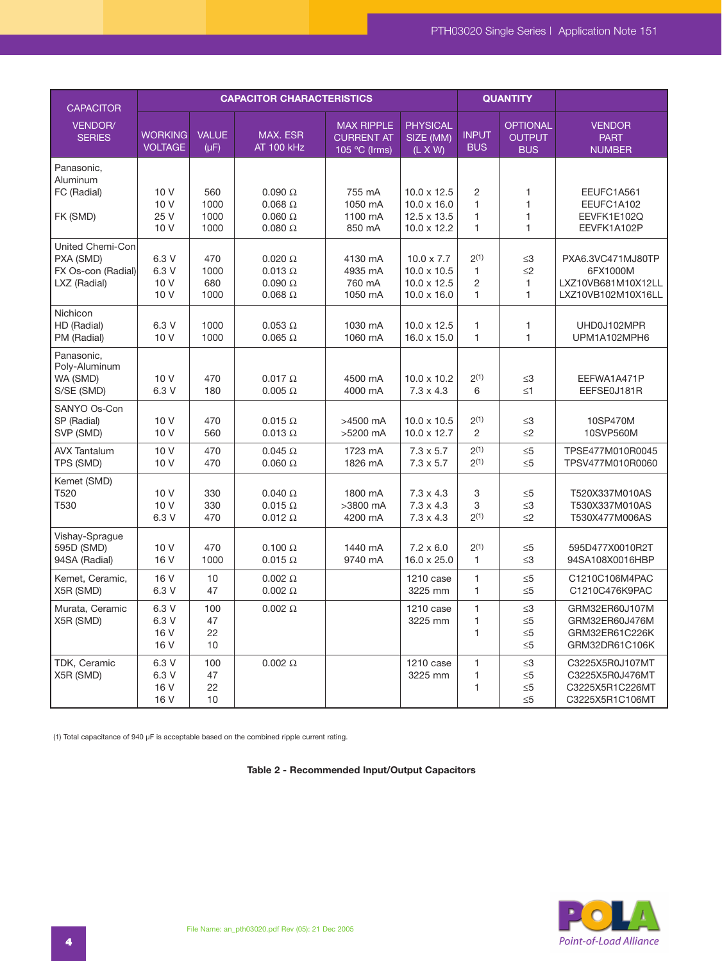| <b>CAPACITOR</b>                                                    |                                  |                             | <b>CAPACITOR CHARACTERISTICS</b>                                      | <b>QUANTITY</b>                                         |                                                                                      |                                                        |                                                      |                                                                           |
|---------------------------------------------------------------------|----------------------------------|-----------------------------|-----------------------------------------------------------------------|---------------------------------------------------------|--------------------------------------------------------------------------------------|--------------------------------------------------------|------------------------------------------------------|---------------------------------------------------------------------------|
| VENDOR/<br><b>SERIES</b>                                            | <b>WORKING</b><br><b>VOLTAGE</b> | <b>VALUE</b><br>$(\mu F)$   | <b>MAX. ESR</b><br><b>AT 100 kHz</b>                                  | <b>MAX RIPPLE</b><br><b>CURRENT AT</b><br>105 °C (Irms) | <b>PHYSICAL</b><br>SIZE (MM)<br>$(L \times W)$                                       | <b>INPUT</b><br><b>BUS</b>                             | <b>OPTIONAL</b><br><b>OUTPUT</b><br><b>BUS</b>       | <b>VENDOR</b><br><b>PART</b><br><b>NUMBER</b>                             |
| Panasonic.<br>Aluminum<br>FC (Radial)<br>FK (SMD)                   | 10 V<br>10 V<br>25 V<br>10 V     | 560<br>1000<br>1000<br>1000 | $0.090 \Omega$<br>$0.068 \Omega$<br>$0.060 \Omega$<br>$0.080\ \Omega$ | 755 mA<br>1050 mA<br>1100 mA<br>850 mA                  | $10.0 \times 12.5$<br>$10.0 \times 16.0$<br>$12.5 \times 13.5$<br>$10.0 \times 12.2$ | 2<br>1<br>$\mathbf{1}$<br>$\mathbf{1}$                 | 1<br>$\mathbf{1}$<br>$\mathbf{1}$<br>1               | EEUFC1A561<br>EEUFC1A102<br>EEVFK1E102Q<br>EEVFK1A102P                    |
| United Chemi-Con<br>PXA (SMD)<br>FX Os-con (Radial)<br>LXZ (Radial) | 6.3 V<br>6.3 V<br>10 V<br>10V    | 470<br>1000<br>680<br>1000  | $0.020 \Omega$<br>$0.013 \Omega$<br>$0.090 \Omega$<br>$0.068\ \Omega$ | 4130 mA<br>4935 mA<br>760 mA<br>1050 mA                 | $10.0 \times 7.7$<br>$10.0 \times 10.5$<br>$10.0 \times 12.5$<br>$10.0 \times 16.0$  | 2(1)<br>$\mathbf{1}$<br>$\overline{2}$<br>$\mathbf{1}$ | $\leq$ 3<br>$\leq$ 2<br>$\mathbf{1}$<br>$\mathbf{1}$ | PXA6.3VC471MJ80TP<br>6FX1000M<br>LXZ10VB681M10X12LL<br>LXZ10VB102M10X16LL |
| Nichicon<br>HD (Radial)<br>PM (Radial)                              | 6.3 V<br>10 V                    | 1000<br>1000                | $0.053 \Omega$<br>$0.065 \Omega$                                      | 1030 mA<br>1060 mA                                      | $10.0 \times 12.5$<br>$16.0 \times 15.0$                                             | $\mathbf{1}$<br>$\mathbf{1}$                           | 1<br>$\mathbf{1}$                                    | UHD0J102MPR<br>UPM1A102MPH6                                               |
| Panasonic,<br>Poly-Aluminum<br>WA (SMD)<br>S/SE (SMD)               | 10 V<br>6.3 V                    | 470<br>180                  | $0.017 \Omega$<br>$0.005 \Omega$                                      | 4500 mA<br>4000 mA                                      | $10.0 \times 10.2$<br>$7.3 \times 4.3$                                               | $2^{(1)}$<br>6                                         | $\leq$ 3<br>$\leq 1$                                 | EEFWA1A471P<br>EEFSE0J181R                                                |
| SANYO Os-Con<br>SP (Radial)<br>SVP (SMD)                            | 10 V<br>10 V                     | 470<br>560                  | $0.015 \Omega$<br>$0.013 \Omega$                                      | >4500 mA<br>>5200 mA                                    | $10.0 \times 10.5$<br>$10.0 \times 12.7$                                             | 2(1)<br>2                                              | $\leq$ 3<br>$\leq$ 2                                 | 10SP470M<br>10SVP560M                                                     |
| <b>AVX Tantalum</b><br>TPS (SMD)                                    | 10 V<br>10 V                     | 470<br>470                  | $0.045 \Omega$<br>$0.060 \Omega$                                      | 1723 mA<br>1826 mA                                      | $7.3 \times 5.7$<br>$7.3 \times 5.7$                                                 | 2(1)<br>2(1)                                           | $\leq 5$<br>$\leq 5$                                 | TPSE477M010R0045<br>TPSV477M010R0060                                      |
| Kemet (SMD)<br>T520<br>T530                                         | 10 V<br>10 V<br>6.3 V            | 330<br>330<br>470           | $0.040 \Omega$<br>$0.015 \Omega$<br>$0.012 \Omega$                    | 1800 mA<br>>3800 mA<br>4200 mA                          | $7.3 \times 4.3$<br>$7.3 \times 4.3$<br>$7.3 \times 4.3$                             | 3<br>3<br>2(1)                                         | $\leq 5$<br>$\leq 3$<br>$\leq$ 2                     | T520X337M010AS<br>T530X337M010AS<br>T530X477M006AS                        |
| Vishay-Sprague<br>595D (SMD)<br>94SA (Radial)                       | 10V<br>16 V                      | 470<br>1000                 | $0.100 \Omega$<br>$0.015 \Omega$                                      | 1440 mA<br>9740 mA                                      | $7.2 \times 6.0$<br>$16.0 \times 25.0$                                               | 2(1)<br>$\mathbf{1}$                                   | $\leq 5$<br>$\leq$ 3                                 | 595D477X0010R2T<br>94SA108X0016HBP                                        |
| Kemet, Ceramic,<br>X5R (SMD)                                        | 16 V<br>6.3 V                    | 10<br>47                    | $0.002 \Omega$<br>$0.002 \Omega$                                      |                                                         | 1210 case<br>3225 mm                                                                 | $\mathbf{1}$<br>1                                      | $\leq 5$<br>$\leq 5$                                 | C1210C106M4PAC<br>C1210C476K9PAC                                          |
| Murata, Ceramic<br>X5R (SMD)                                        | 6.3 V<br>6.3 V<br>16 V<br>16 V   | 100<br>47<br>22<br>10       | $0.002 \Omega$                                                        |                                                         | 1210 case<br>3225 mm                                                                 | $\mathbf{1}$<br>$\mathbf{1}$<br>$\mathbf{1}$           | $\leq$ 3<br>$\leq 5$<br>$\leq 5$<br>$\leq 5$         | GRM32ER60J107M<br>GRM32ER60J476M<br>GRM32ER61C226K<br>GRM32DR61C106K      |
| TDK, Ceramic<br>X5R (SMD)                                           | 6.3 V<br>6.3 V<br>16 V<br>16 V   | 100<br>47<br>22<br>10       | $0.002 \Omega$                                                        |                                                         | 1210 case<br>3225 mm                                                                 | $\mathbf{1}$<br>1<br>$\mathbf{1}$                      | $\leq3$<br>$\leq 5$<br>$\leq 5$<br>$\leq 5$          | C3225X5R0J107MT<br>C3225X5R0J476MT<br>C3225X5R1C226MT<br>C3225X5R1C106MT  |

(1) Total capacitance of 940 µF is acceptable based on the combined ripple current rating.

**Table 2 - Recommended Input/Output Capacitors**

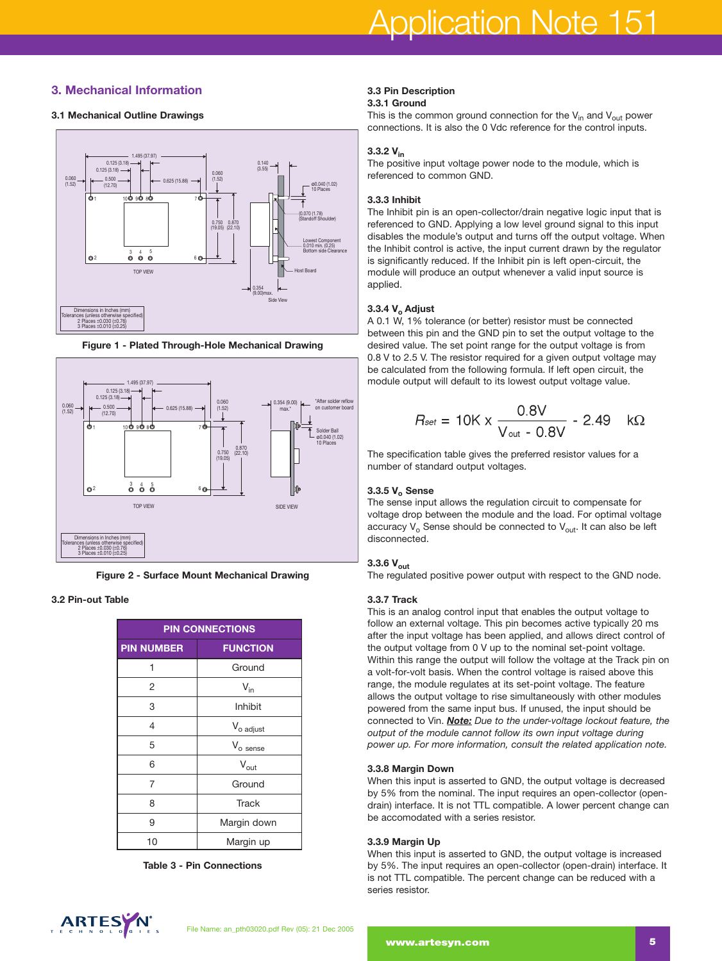# **3. Mechanical Information**

# **3.1 Mechanical Outline Drawings**



**Figure 1 - Plated Through-Hole Mechanical Drawing**



**Figure 2 - Surface Mount Mechanical Drawing**

# **3.2 Pin-out Table**

| <b>PIN CONNECTIONS</b> |                       |  |  |  |
|------------------------|-----------------------|--|--|--|
| <b>PIN NUMBER</b>      | <b>FUNCTION</b>       |  |  |  |
| 1                      | Ground                |  |  |  |
| 2                      | $V_{in}$              |  |  |  |
| 3                      | Inhibit               |  |  |  |
| 4                      | V <sub>o adjust</sub> |  |  |  |
| 5                      | $V_{o}$ sense         |  |  |  |
| 6                      | $V_{\text{out}}$      |  |  |  |
| 7                      | Ground                |  |  |  |
| 8                      | <b>Track</b>          |  |  |  |
| 9                      | Margin down           |  |  |  |
| 10                     | Margin up             |  |  |  |

**Table 3 - Pin Connections**

#### **3.3 Pin Description 3.3.1 Ground**

This is the common ground connection for the  $V_{in}$  and  $V_{out}$  power connections. It is also the 0 Vdc reference for the control inputs.

# **3.3.2 Vin**

The positive input voltage power node to the module, which is referenced to common GND.

# **3.3.3 Inhibit**

The Inhibit pin is an open-collector/drain negative logic input that is referenced to GND. Applying a low level ground signal to this input disables the module's output and turns off the output voltage. When the Inhibit control is active, the input current drawn by the regulator is significantly reduced. If the Inhibit pin is left open-circuit, the module will produce an output whenever a valid input source is applied.

# **3.3.4 V<sub>o</sub> Adjust**

A 0.1 W, 1% tolerance (or better) resistor must be connected between this pin and the GND pin to set the output voltage to the desired value. The set point range for the output voltage is from 0.8 V to 2.5 V. The resistor required for a given output voltage may be calculated from the following formula. If left open circuit, the module output will default to its lowest output voltage value.

$$
R_{\text{set}} = 10K \times \frac{0.8V}{V_{\text{out}} - 0.8V} - 2.49 \quad k\Omega
$$

The specification table gives the preferred resistor values for a number of standard output voltages.

# **3.3.5 V<sub>o</sub> Sense**

The sense input allows the regulation circuit to compensate for voltage drop between the module and the load. For optimal voltage accuracy  $V_0$  Sense should be connected to  $V_{out}$ . It can also be left disconnected.

# **3.3.6 Vout**

The regulated positive power output with respect to the GND node.

#### **3.3.7 Track**

This is an analog control input that enables the output voltage to follow an external voltage. This pin becomes active typically 20 ms after the input voltage has been applied, and allows direct control of the output voltage from 0 V up to the nominal set-point voltage. Within this range the output will follow the voltage at the Track pin on a volt-for-volt basis. When the control voltage is raised above this range, the module regulates at its set-point voltage. The feature allows the output voltage to rise simultaneously with other modules powered from the same input bus. If unused, the input should be connected to Vin. *Note: Due to the under-voltage lockout feature, the output of the module cannot follow its own input voltage during power up. For more information, consult the related application note.*

#### **3.3.8 Margin Down**

When this input is asserted to GND, the output voltage is decreased by 5% from the nominal. The input requires an open-collector (opendrain) interface. It is not TTL compatible. A lower percent change can be accomodated with a series resistor.

#### **3.3.9 Margin Up**

When this input is asserted to GND, the output voltage is increased by 5%. The input requires an open-collector (open-drain) interface. It is not TTL compatible. The percent change can be reduced with a series resistor.

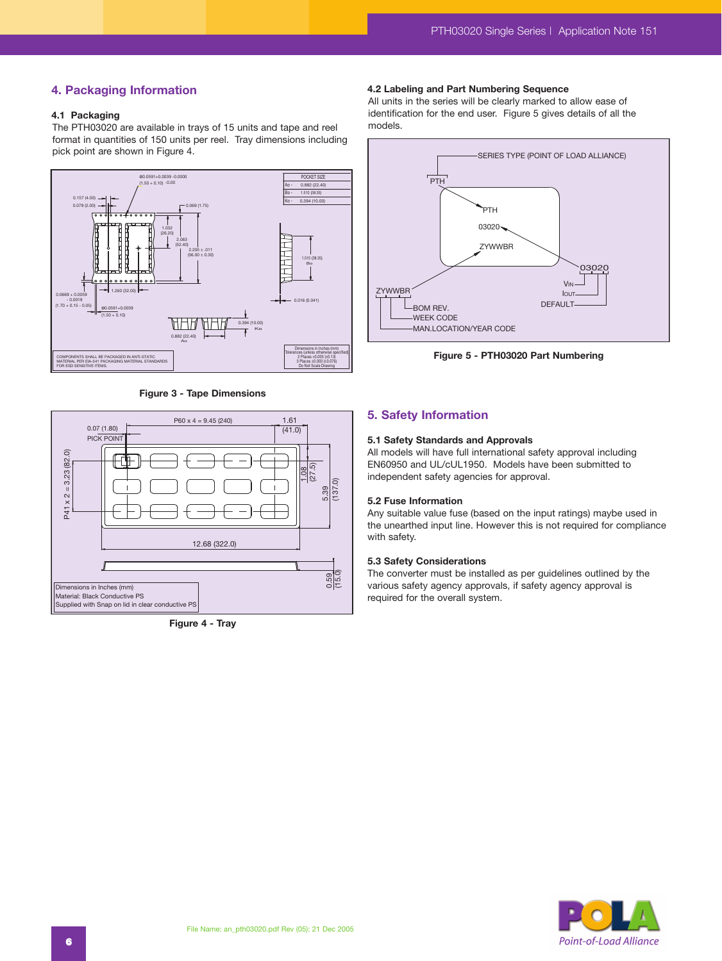# **4. Packaging Information**

# **4.1 Packaging**

The PTH03020 are available in trays of 15 units and tape and reel format in quantities of 150 units per reel. Tray dimensions including pick point are shown in Figure 4.



**Figure 3 - Tape Dimensions**



**Figure 4 - Tray**

#### **4.2 Labeling and Part Numbering Sequence**

All units in the series will be clearly marked to allow ease of identification for the end user. Figure 5 gives details of all the models.



**Figure 5 - PTH03020 Part Numbering**

# **5. Safety Information**

#### **5.1 Safety Standards and Approvals**

All models will have full international safety approval including EN60950 and UL/cUL1950. Models have been submitted to independent safety agencies for approval.

#### **5.2 Fuse Information**

Any suitable value fuse (based on the input ratings) maybe used in the unearthed input line. However this is not required for compliance with safety.

#### **5.3 Safety Considerations**

The converter must be installed as per guidelines outlined by the various safety agency approvals, if safety agency approval is required for the overall system.

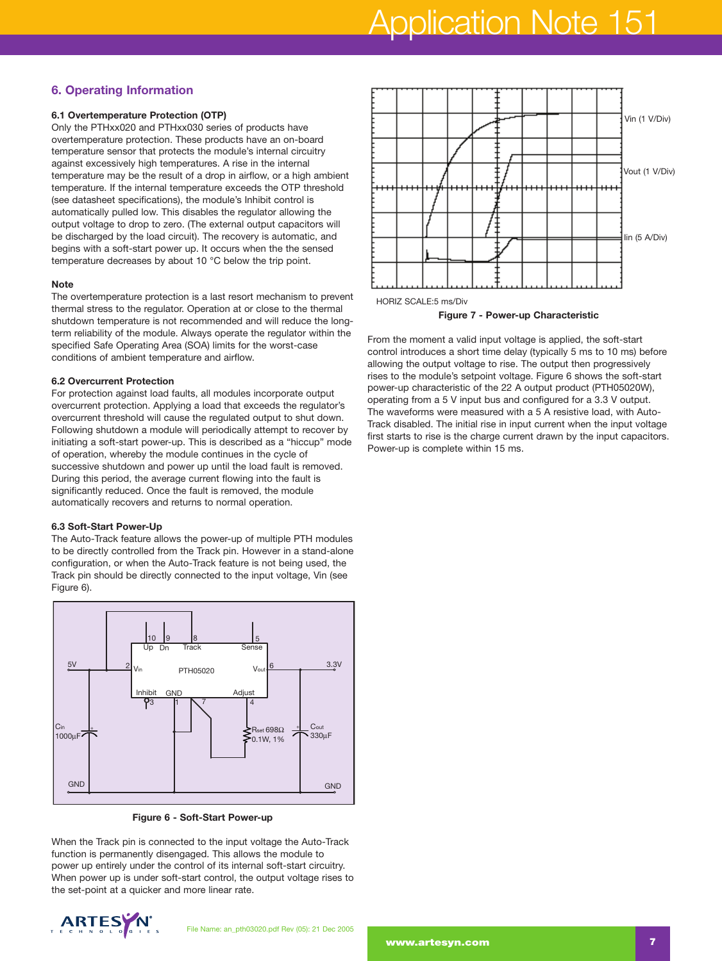# **6. Operating Information**

# **6.1 Overtemperature Protection (OTP)**

Only the PTHxx020 and PTHxx030 series of products have overtemperature protection. These products have an on-board temperature sensor that protects the module's internal circuitry against excessively high temperatures. A rise in the internal temperature may be the result of a drop in airflow, or a high ambient temperature. If the internal temperature exceeds the OTP threshold (see datasheet specifications), the module's Inhibit control is automatically pulled low. This disables the regulator allowing the output voltage to drop to zero. (The external output capacitors will be discharged by the load circuit). The recovery is automatic, and begins with a soft-start power up. It occurs when the the sensed temperature decreases by about 10 °C below the trip point.

#### **Note**

The overtemperature protection is a last resort mechanism to prevent thermal stress to the regulator. Operation at or close to the thermal shutdown temperature is not recommended and will reduce the longterm reliability of the module. Always operate the regulator within the specified Safe Operating Area (SOA) limits for the worst-case conditions of ambient temperature and airflow.

# **6.2 Overcurrent Protection**

For protection against load faults, all modules incorporate output overcurrent protection. Applying a load that exceeds the regulator's overcurrent threshold will cause the regulated output to shut down. Following shutdown a module will periodically attempt to recover by initiating a soft-start power-up. This is described as a "hiccup" mode of operation, whereby the module continues in the cycle of successive shutdown and power up until the load fault is removed. During this period, the average current flowing into the fault is significantly reduced. Once the fault is removed, the module automatically recovers and returns to normal operation.

#### **6.3 Soft-Start Power-Up**

The Auto-Track feature allows the power-up of multiple PTH modules to be directly controlled from the Track pin. However in a stand-alone configuration, or when the Auto-Track feature is not being used, the Track pin should be directly connected to the input voltage, Vin (see Figure 6).



**Figure 6 - Soft-Start Power-up**

When the Track pin is connected to the input voltage the Auto-Track function is permanently disengaged. This allows the module to power up entirely under the control of its internal soft-start circuitry. When power up is under soft-start control, the output voltage rises to the set-point at a quicker and more linear rate.





**Figure 7 - Power-up Characteristic**

From the moment a valid input voltage is applied, the soft-start control introduces a short time delay (typically 5 ms to 10 ms) before allowing the output voltage to rise. The output then progressively rises to the module's setpoint voltage. Figure 6 shows the soft-start power-up characteristic of the 22 A output product (PTH05020W), operating from a 5 V input bus and configured for a 3.3 V output. The waveforms were measured with a 5 A resistive load, with Auto-Track disabled. The initial rise in input current when the input voltage first starts to rise is the charge current drawn by the input capacitors. Power-up is complete within 15 ms.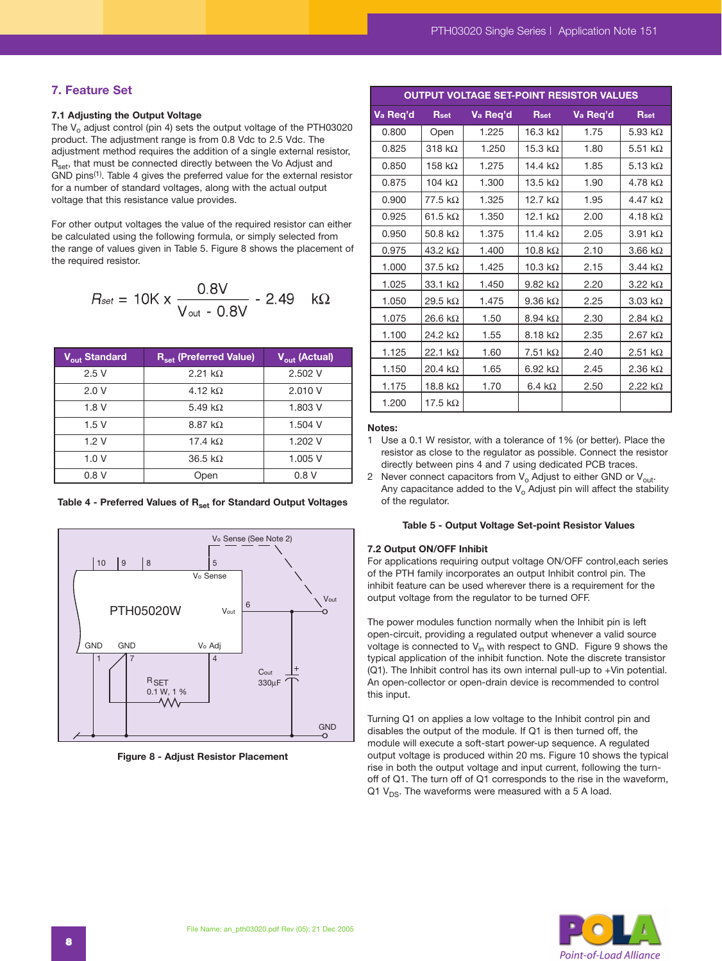# **7. Feature Set**

#### **7.1 Adjusting the Output Voltage**

The  $V<sub>o</sub>$  adjust control (pin 4) sets the output voltage of the PTH03020 product. The adjustment range is from 0.8 Vdc to 2.5 Vdc. The adjustment method requires the addition of a single external resistor, R<sub>set</sub>, that must be connected directly between the Vo Adjust and GND pins<sup>(1)</sup>. Table 4 gives the preferred value for the external resistor for a number of standard voltages, along with the actual output voltage that this resistance value provides.

For other output voltages the value of the required resistor can either be calculated using the following formula, or simply selected from the range of values given in Table 5. Figure 8 shows the placement of the required resistor.

$$
R_{\text{set}} = 10 \text{K} \times \frac{0.8 \text{V}}{\text{V}_{\text{out}} - 0.8 \text{V}} - 2.49 \quad \text{k}\Omega
$$

| V <sub>out</sub> Standard | R <sub>set</sub> (Preferred Value)                                                            | $\overline{V_{\text{out}}}$ (Actual) |
|---------------------------|-----------------------------------------------------------------------------------------------|--------------------------------------|
| 2.5V                      | 2.21 k $\Omega$                                                                               | 2.502 V                              |
| 2.0V                      | 4.12 $k\Omega$                                                                                | 2.010 V                              |
| 1.8V                      | 5.49 k $\Omega$                                                                               | 1.803 V                              |
| 1.5V                      | 8.87 k $\Omega$                                                                               | 1.504 V                              |
| 1.2V                      | 17.4 $k\Omega$                                                                                | 1.202 V                              |
| 1.0V                      | 36.5 k $\Omega$                                                                               | 1.005 V                              |
| 0.8V                      | Open                                                                                          | 0.8V                                 |
|                           | Table 4 - Preferred Values of R <sub>set</sub> for Standard Output Voltages                   |                                      |
| 10<br>$9\,$               | V <sub>o</sub> Sense (See Note 2)<br>8<br>5<br>V <sub>o</sub> Sense<br>6<br>PTH05020W<br>Vout | Vout                                 |

Table 4 - Preferred Values of R<sub>set</sub> for Standard Output Voltages



**Figure 8 - Adjust Resistor Placement**

| OUTPUT VOLTAGE SET-POINT RESISTOR VALUES |                 |          |                 |          |                        |  |  |  |
|------------------------------------------|-----------------|----------|-----------------|----------|------------------------|--|--|--|
| Va Req'd                                 | Rset            | Va Req'd | Rset            | Va Req'd | Rset                   |  |  |  |
| 0.800                                    | Open            | 1.225    | 16.3 k $\Omega$ | 1.75     | 5.93 k $\Omega$        |  |  |  |
| 0.825                                    | $318 k\Omega$   | 1.250    | 15.3 $k\Omega$  | 1.80     | 5.51 $k\Omega$         |  |  |  |
| 0.850                                    | 158 k $\Omega$  | 1.275    | 14.4 $k\Omega$  | 1.85     | 5.13 $k\Omega$         |  |  |  |
| 0.875                                    | 104 $k\Omega$   | 1.300    | 13.5 k $\Omega$ | 1.90     | 4.78 k $\Omega$        |  |  |  |
| 0.900                                    | $77.5\;k\Omega$ | 1.325    | 12.7 $k\Omega$  | 1.95     | 4.47 $k\Omega$         |  |  |  |
| 0.925                                    | 61.5 $k\Omega$  | 1.350    | 12.1 $k\Omega$  | 2.00     | 4.18 k $\Omega$        |  |  |  |
| 0.950                                    | 50.8 k $\Omega$ | 1.375    | 11.4 $k\Omega$  | 2.05     | 3.91 k $\Omega$        |  |  |  |
| 0.975                                    | 43.2 k $\Omega$ | 1.400    | 10.8 k $\Omega$ | 2.10     | $3.66 \text{ k}\Omega$ |  |  |  |
| 1.000                                    | 37.5 $k\Omega$  | 1.425    | 10.3 k $\Omega$ | 2.15     | 3.44 k $\Omega$        |  |  |  |
| 1.025                                    | 33.1 $k\Omega$  | 1.450    | 9.82 k $\Omega$ | 2.20     | $3.22 k\Omega$         |  |  |  |
| 1.050                                    | 29.5 k $\Omega$ | 1.475    | 9.36 k $\Omega$ | 2.25     | $3.03 \text{ k}\Omega$ |  |  |  |
| 1.075                                    | 26.6 k $\Omega$ | 1.50     | 8.94 k $\Omega$ | 2.30     | 2.84 k $\Omega$        |  |  |  |
| 1.100                                    | 24.2 k $\Omega$ | 1.55     | 8.18 k $\Omega$ | 2.35     | $2.67 \text{ k}\Omega$ |  |  |  |
| 1.125                                    | 22.1 $k\Omega$  | 1.60     | 7.51 k $\Omega$ | 2.40     | 2.51 k $\Omega$        |  |  |  |
| 1.150                                    | 20.4 k $\Omega$ | 1.65     | 6.92 k $\Omega$ | 2.45     | 2.36 k $\Omega$        |  |  |  |
| 1.175                                    | 18.8 k $\Omega$ | 1.70     | 6.4 k $\Omega$  | 2.50     | 2.22 k $\Omega$        |  |  |  |
| 1.200                                    | 17.5 k $\Omega$ |          |                 |          |                        |  |  |  |

#### **Notes:**

- 1 Use a 0.1 W resistor, with a tolerance of 1% (or better). Place the resistor as close to the regulator as possible. Connect the resistor directly between pins 4 and 7 using dedicated PCB traces.
- 2 Never connect capacitors from  $V_0$  Adjust to either GND or  $V_{\text{out}}$ . Any capacitance added to the  $V_0$  Adjust pin will affect the stability of the regulator.

#### **Table 5 - Output Voltage Set-point Resistor Values**

#### **7.2 Output ON/OFF Inhibit**

For applications requiring output voltage ON/OFF control,each series of the PTH family incorporates an output Inhibit control pin. The inhibit feature can be used wherever there is a requirement for the output voltage from the regulator to be turned OFF.

The power modules function normally when the Inhibit pin is left open-circuit, providing a regulated output whenever a valid source voltage is connected to  $V_{in}$  with respect to GND. Figure 9 shows the typical application of the inhibit function. Note the discrete transistor (Q1). The Inhibit control has its own internal pull-up to +Vin potential. An open-collector or open-drain device is recommended to control this input.

Turning Q1 on applies a low voltage to the Inhibit control pin and disables the output of the module. If Q1 is then turned off, the module will execute a soft-start power-up sequence. A regulated output voltage is produced within 20 ms. Figure 10 shows the typical rise in both the output voltage and input current, following the turnoff of Q1. The turn off of Q1 corresponds to the rise in the waveform, Q1  $V_{DS}$ . The waveforms were measured with a 5 A load.

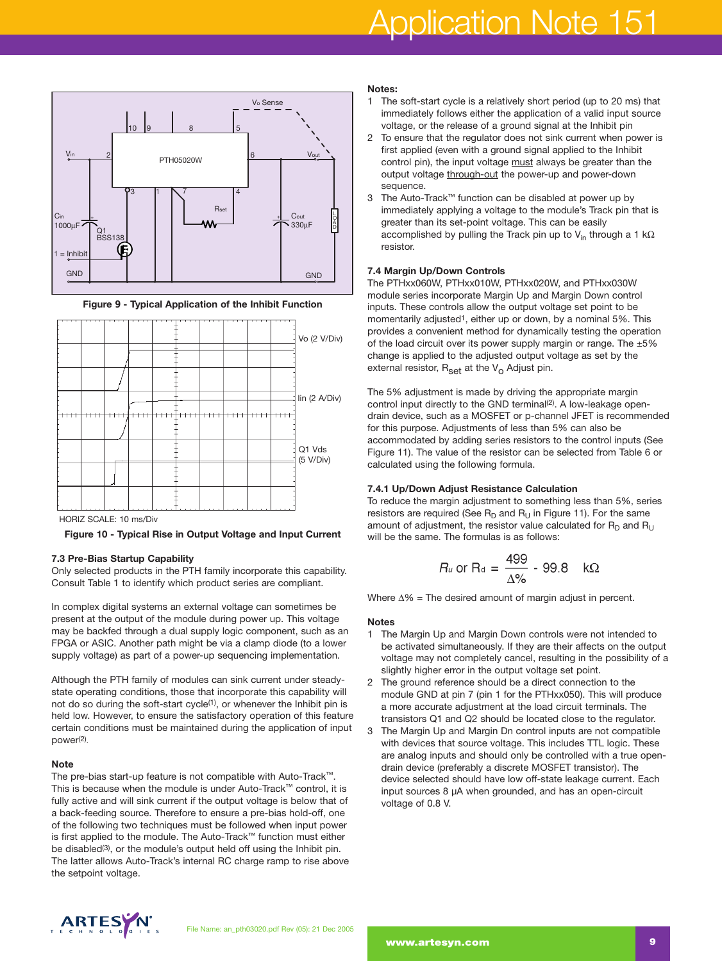# Application Note 151







HORIZ SCALE: 10 ms/Div

**Figure 10 - Typical Rise in Output Voltage and Input Current**

#### **7.3 Pre-Bias Startup Capability**

Only selected products in the PTH family incorporate this capability. Consult Table 1 to identify which product series are compliant.

In complex digital systems an external voltage can sometimes be present at the output of the module during power up. This voltage may be backfed through a dual supply logic component, such as an FPGA or ASIC. Another path might be via a clamp diode (to a lower supply voltage) as part of a power-up sequencing implementation.

Although the PTH family of modules can sink current under steadystate operating conditions, those that incorporate this capability will not do so during the soft-start cycle<sup>(1)</sup>, or whenever the Inhibit pin is held low. However, to ensure the satisfactory operation of this feature certain conditions must be maintained during the application of input power(2).

#### **Note**

The pre-bias start-up feature is not compatible with Auto-Track™. This is because when the module is under Auto-Track™ control, it is fully active and will sink current if the output voltage is below that of a back-feeding source. Therefore to ensure a pre-bias hold-off, one of the following two techniques must be followed when input power is first applied to the module. The Auto-Track™ function must either be disabled(3), or the module's output held off using the Inhibit pin. The latter allows Auto-Track's internal RC charge ramp to rise above the setpoint voltage.

#### **Notes:**

- 1 The soft-start cycle is a relatively short period (up to 20 ms) that immediately follows either the application of a valid input source voltage, or the release of a ground signal at the Inhibit pin
- 2 To ensure that the regulator does not sink current when power is first applied (even with a ground signal applied to the Inhibit control pin), the input voltage must always be greater than the output voltage through-out the power-up and power-down sequence.
- 3 The Auto-Track™ function can be disabled at power up by immediately applying a voltage to the module's Track pin that is greater than its set-point voltage. This can be easily accomplished by pulling the Track pin up to V<sub>in</sub> through a 1 kΩ resistor.

#### **7.4 Margin Up/Down Controls**

The PTHxx060W, PTHxx010W, PTHxx020W, and PTHxx030W module series incorporate Margin Up and Margin Down control inputs. These controls allow the output voltage set point to be momentarily adjusted<sup>1</sup>, either up or down, by a nominal 5%. This provides a convenient method for dynamically testing the operation of the load circuit over its power supply margin or range. The  $\pm 5\%$ change is applied to the adjusted output voltage as set by the external resistor,  $R_{\text{set}}$  at the  $V_{\text{O}}$  Adjust pin.

The 5% adjustment is made by driving the appropriate margin control input directly to the GND terminal<sup>(2)</sup>. A low-leakage opendrain device, such as a MOSFET or p-channel JFET is recommended for this purpose. Adjustments of less than 5% can also be accommodated by adding series resistors to the control inputs (See Figure 11). The value of the resistor can be selected from Table 6 or calculated using the following formula.

#### **7.4.1 Up/Down Adjust Resistance Calculation**

To reduce the margin adjustment to something less than 5%, series resistors are required (See  $R_D$  and  $R_U$  in Figure 11). For the same amount of adjustment, the resistor value calculated for  $R_D$  and  $R_{\rm H}$ will be the same. The formulas is as follows:

$$
R_u \text{ or } R_d = \frac{499}{\Delta\%} - 99.8 \quad k\Omega
$$

Where ∆% = The desired amount of margin adjust in percent.

#### **Notes**

- 1 The Margin Up and Margin Down controls were not intended to be activated simultaneously. If they are their affects on the output voltage may not completely cancel, resulting in the possibility of a slightly higher error in the output voltage set point.
- 2 The ground reference should be a direct connection to the module GND at pin 7 (pin 1 for the PTHxx050). This will produce a more accurate adjustment at the load circuit terminals. The transistors Q1 and Q2 should be located close to the regulator.
- 3 The Margin Up and Margin Dn control inputs are not compatible with devices that source voltage. This includes TTL logic. These are analog inputs and should only be controlled with a true opendrain device (preferably a discrete MOSFET transistor). The device selected should have low off-state leakage current. Each input sources 8 µA when grounded, and has an open-circuit voltage of 0.8 V.

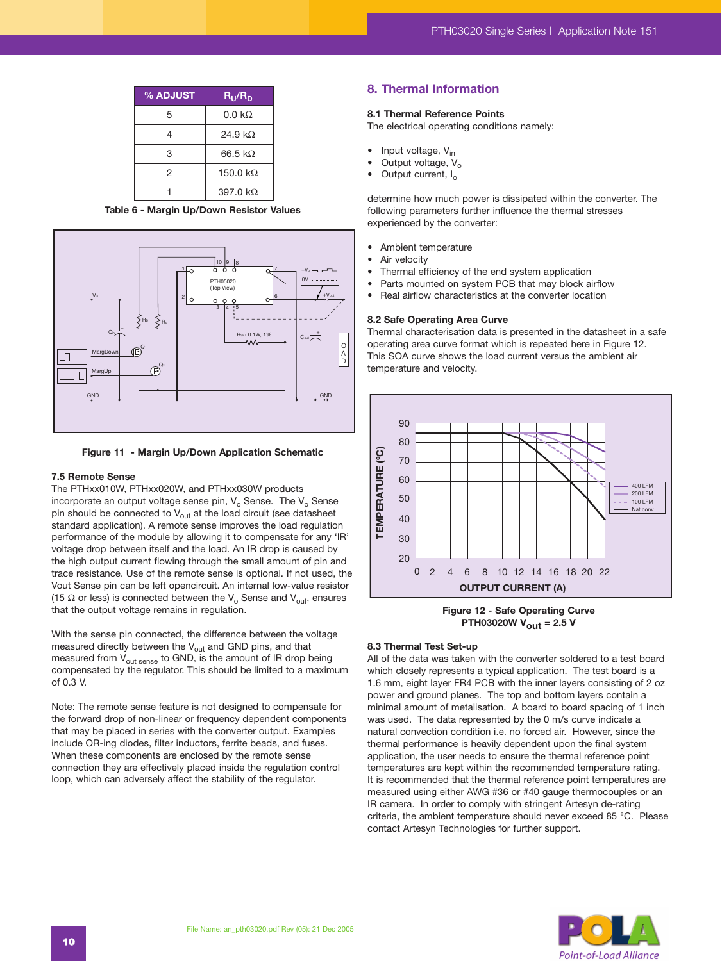| % ADJUST | $R_{\rm U}/R_{\rm D}$ |
|----------|-----------------------|
| 5        | $0.0~\text{k}\Omega$  |
| 4        | 24.9 k $\Omega$       |
| 3        | 66.5 $k\Omega$        |
| 2        | 150.0 $k\Omega$       |
|          | 397.0 k $\Omega$      |

**Table 6 - Margin Up/Down Resistor Values**



**Figure 11 - Margin Up/Down Application Schematic**

#### **7.5 Remote Sense**

The PTHxx010W, PTHxx020W, and PTHxx030W products incorporate an output voltage sense pin,  $V_0$  Sense. The  $V_0$  Sense pin should be connected to  $V_{\text{out}}$  at the load circuit (see datasheet standard application). A remote sense improves the load regulation performance of the module by allowing it to compensate for any 'IR' voltage drop between itself and the load. An IR drop is caused by the high output current flowing through the small amount of pin and trace resistance. Use of the remote sense is optional. If not used, the Vout Sense pin can be left opencircuit. An internal low-value resistor (15  $\Omega$  or less) is connected between the V<sub>o</sub> Sense and V<sub>out</sub>, ensures that the output voltage remains in regulation.

With the sense pin connected, the difference between the voltage measured directly between the  $V_{\text{out}}$  and GND pins, and that measured from  $V_{\text{out sense}}$  to GND, is the amount of IR drop being compensated by the regulator. This should be limited to a maximum of 0.3 V.

Note: The remote sense feature is not designed to compensate for the forward drop of non-linear or frequency dependent components that may be placed in series with the converter output. Examples include OR-ing diodes, filter inductors, ferrite beads, and fuses. When these components are enclosed by the remote sense connection they are effectively placed inside the regulation control loop, which can adversely affect the stability of the regulator.

# **8. Thermal Information**

#### **8.1 Thermal Reference Points**

The electrical operating conditions namely:

- Input voltage, V<sub>in</sub>
- Output voltage,  $V_0$
- Output current,  $I_0$

determine how much power is dissipated within the converter. The following parameters further influence the thermal stresses experienced by the converter:

- Ambient temperature
- Air velocity
- Thermal efficiency of the end system application
- Parts mounted on system PCB that may block airflow
- Real airflow characteristics at the converter location

#### **8.2 Safe Operating Area Curve**

Thermal characterisation data is presented in the datasheet in a safe operating area curve format which is repeated here in Figure 12. This SOA curve shows the load current versus the ambient air temperature and velocity.



**Figure 12 - Safe Operating Curve PTH03020W Vout = 2.5 V**

#### **8.3 Thermal Test Set-up**

All of the data was taken with the converter soldered to a test board which closely represents a typical application. The test board is a 1.6 mm, eight layer FR4 PCB with the inner layers consisting of 2 oz power and ground planes. The top and bottom layers contain a minimal amount of metalisation. A board to board spacing of 1 inch was used. The data represented by the 0 m/s curve indicate a natural convection condition i.e. no forced air. However, since the thermal performance is heavily dependent upon the final system application, the user needs to ensure the thermal reference point temperatures are kept within the recommended temperature rating. It is recommended that the thermal reference point temperatures are measured using either AWG #36 or #40 gauge thermocouples or an IR camera. In order to comply with stringent Artesyn de-rating criteria, the ambient temperature should never exceed 85 °C. Please contact Artesyn Technologies for further support.

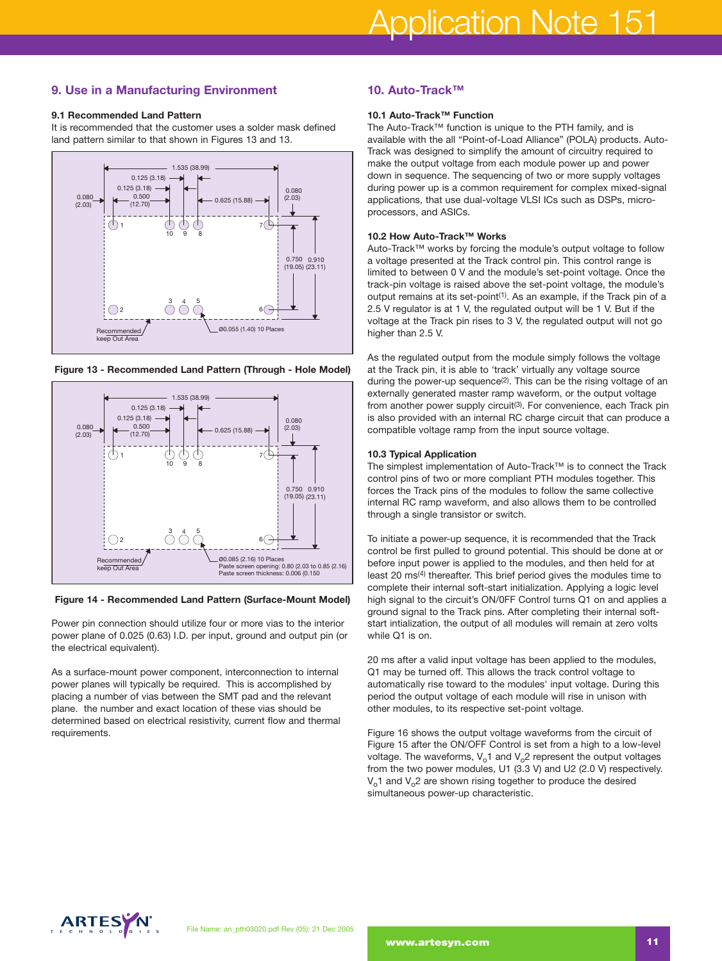# **9. Use in a Manufacturing Environment**

#### **9.1 Recommended Land Pattern**

It is recommended that the customer uses a solder mask defined land pattern similar to that shown in Figures 13 and 13.



**Figure 13 - Recommended Land Pattern (Through - Hole Model)**



#### **Figure 14 - Recommended Land Pattern (Surface-Mount Model)**

Power pin connection should utilize four or more vias to the interior power plane of 0.025 (0.63) I.D. per input, ground and output pin (or the electrical equivalent).

As a surface-mount power component, interconnection to internal power planes will typically be required. This is accomplished by placing a number of vias between the SMT pad and the relevant plane. the number and exact location of these vias should be determined based on electrical resistivity, current flow and thermal requirements.

# **10. Auto-Track™**

# **10.1 Auto-Track™ Function**

The Auto-Track™ function is unique to the PTH family, and is available with the all "Point-of-Load Alliance" (POLA) products. Auto-Track was designed to simplify the amount of circuitry required to make the output voltage from each module power up and power down in sequence. The sequencing of two or more supply voltages during power up is a common requirement for complex mixed-signal applications, that use dual-voltage VLSI ICs such as DSPs, microprocessors, and ASICs.

#### **10.2 How Auto-Track™ Works**

Auto-Track™ works by forcing the module's output voltage to follow a voltage presented at the Track control pin. This control range is limited to between 0 V and the module's set-point voltage. Once the track-pin voltage is raised above the set-point voltage, the module's output remains at its set-point<sup>(1)</sup>. As an example, if the Track pin of a 2.5 V regulator is at 1 V, the regulated output will be 1 V. But if the voltage at the Track pin rises to 3 V, the regulated output will not go higher than 2.5 V.

As the regulated output from the module simply follows the voltage at the Track pin, it is able to 'track' virtually any voltage source during the power-up sequence<sup>(2)</sup>. This can be the rising voltage of an externally generated master ramp waveform, or the output voltage from another power supply circuit<sup>(3)</sup>. For convenience, each Track pin is also provided with an internal RC charge circuit that can produce a compatible voltage ramp from the input source voltage.

#### **10.3 Typical Application**

The simplest implementation of Auto-Track™ is to connect the Track control pins of two or more compliant PTH modules together. This forces the Track pins of the modules to follow the same collective internal RC ramp waveform, and also allows them to be controlled through a single transistor or switch.

To initiate a power-up sequence, it is recommended that the Track control be first pulled to ground potential. This should be done at or before input power is applied to the modules, and then held for at least 20 ms(4) thereafter. This brief period gives the modules time to complete their internal soft-start initialization. Applying a logic level high signal to the circuit's ON/0FF Control turns Q1 on and applies a ground signal to the Track pins. After completing their internal softstart intialization, the output of all modules will remain at zero volts while Q1 is on.

20 ms after a valid input voltage has been applied to the modules, Q1 may be turned off. This allows the track control voltage to automatically rise toward to the modules' input voltage. During this period the output voltage of each module will rise in unison with other modules, to its respective set-point voltage.

Figure 16 shows the output voltage waveforms from the circuit of Figure 15 after the ON/OFF Control is set from a high to a low-level voltage. The waveforms,  $V_0$ 1 and  $V_0$ 2 represent the output voltages from the two power modules, U1 (3.3 V) and U2 (2.0 V) respectively.  $V<sub>o</sub>1$  and  $V<sub>o</sub>2$  are shown rising together to produce the desired simultaneous power-up characteristic.